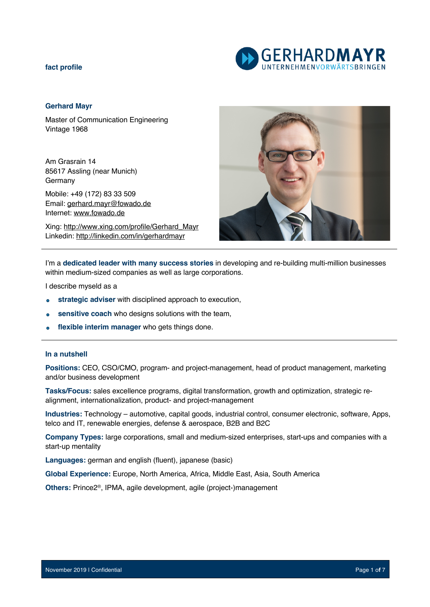

# **Gerhard Mayr**

Master of Communication Engineering Vintage 1968

Am Grasrain 14 85617 Assling (near Munich) Germany

Mobile: +49 (172) 83 33 509 Email: gerhard.mayr@fowado.de Internet: www.fowado.de

Xing: http://www.xing.com/profile/Gerhard\_Mayr Linkedin: http://linkedin.com/in/gerhardmayr



I'm a **dedicated leader with many success stories** in developing and re-building multi-million businesses within medium-sized companies as well as large corporations.

I describe myseld as a

- **strategic adviser** with disciplined approach to execution,
- **sensitive coach** who designs solutions with the team,  $\bullet$
- **flexible interim manager** who gets things done.

#### **In a nutshell**

**Positions:** CEO, CSO/CMO, program- and project-management, head of product management, marketing and/or business development

**Tasks/Focus:** sales excellence programs, digital transformation, growth and optimization, strategic realignment, internationalization, product- and project-management

**Industries:** Technology – automotive, capital goods, industrial control, consumer electronic, software, Apps, telco and IT, renewable energies, defense & aerospace, B2B and B2C

**Company Types:** large corporations, small and medium-sized enterprises, start-ups and companies with a start-up mentality

**Languages:** german and english (fluent), japanese (basic)

**Global Experience:** Europe, North America, Africa, Middle East, Asia, South America

**Others:** Prince2®, IPMA, agile development, agile (project-)management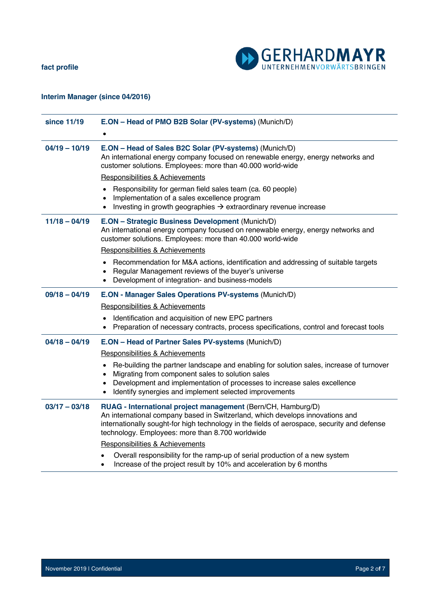

# **Interim Manager (since 04/2016)**

| since 11/19     | E.ON - Head of PMO B2B Solar (PV-systems) (Munich/D)                                                                                                                                                                                                                                             |
|-----------------|--------------------------------------------------------------------------------------------------------------------------------------------------------------------------------------------------------------------------------------------------------------------------------------------------|
|                 |                                                                                                                                                                                                                                                                                                  |
| $04/19 - 10/19$ | E.ON - Head of Sales B2C Solar (PV-systems) (Munich/D)<br>An international energy company focused on renewable energy, energy networks and<br>customer solutions. Employees: more than 40.000 world-wide                                                                                         |
|                 | <b>Responsibilities &amp; Achievements</b>                                                                                                                                                                                                                                                       |
|                 | Responsibility for german field sales team (ca. 60 people)<br>Implementation of a sales excellence program<br>Investing in growth geographies $\rightarrow$ extraordinary revenue increase                                                                                                       |
| $11/18 - 04/19$ | E.ON - Strategic Business Development (Munich/D)<br>An international energy company focused on renewable energy, energy networks and<br>customer solutions. Employees: more than 40.000 world-wide                                                                                               |
|                 | Responsibilities & Achievements                                                                                                                                                                                                                                                                  |
|                 | Recommendation for M&A actions, identification and addressing of suitable targets<br>Regular Management reviews of the buyer's universe<br>Development of integration- and business-models<br>$\bullet$                                                                                          |
| $09/18 - 04/19$ | E.ON - Manager Sales Operations PV-systems (Munich/D)                                                                                                                                                                                                                                            |
|                 | Responsibilities & Achievements                                                                                                                                                                                                                                                                  |
|                 | Identification and acquisition of new EPC partners<br>$\bullet$<br>Preparation of necessary contracts, process specifications, control and forecast tools                                                                                                                                        |
| $04/18 - 04/19$ | E.ON - Head of Partner Sales PV-systems (Munich/D)                                                                                                                                                                                                                                               |
|                 | Responsibilities & Achievements                                                                                                                                                                                                                                                                  |
|                 | Re-building the partner landscape and enabling for solution sales, increase of turnover<br>٠<br>Migrating from component sales to solution sales<br>$\bullet$<br>Development and implementation of processes to increase sales excellence<br>$\bullet$                                           |
|                 | Identify synergies and implement selected improvements                                                                                                                                                                                                                                           |
| $03/17 - 03/18$ | RUAG - International project management (Bern/CH, Hamburg/D)<br>An international company based in Switzerland, which develops innovations and<br>internationally sought-for high technology in the fields of aerospace, security and defense<br>technology. Employees: more than 8.700 worldwide |
|                 | Responsibilities & Achievements                                                                                                                                                                                                                                                                  |
|                 | Overall responsibility for the ramp-up of serial production of a new system<br>Increase of the project result by 10% and acceleration by 6 months<br>$\bullet$                                                                                                                                   |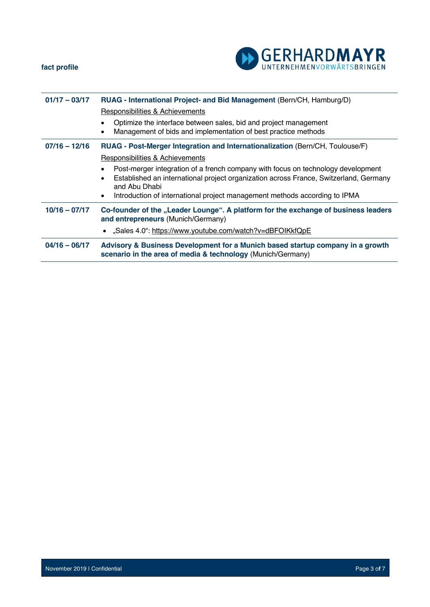



| $01/17 - 03/17$ | RUAG - International Project- and Bid Management (Bern/CH, Hamburg/D)                                                                                                                                        |
|-----------------|--------------------------------------------------------------------------------------------------------------------------------------------------------------------------------------------------------------|
|                 | Responsibilities & Achievements                                                                                                                                                                              |
|                 | Optimize the interface between sales, bid and project management<br>Management of bids and implementation of best practice methods                                                                           |
| $07/16 - 12/16$ | RUAG - Post-Merger Integration and Internationalization (Bern/CH, Toulouse/F)                                                                                                                                |
|                 | <b>Responsibilities &amp; Achievements</b>                                                                                                                                                                   |
|                 | Post-merger integration of a french company with focus on technology development<br>$\bullet$<br>Established an international project organization across France, Switzerland, Germany<br>٠<br>and Abu Dhabi |
|                 | Introduction of international project management methods according to IPMA<br>$\bullet$                                                                                                                      |
| $10/16 - 07/17$ | Co-founder of the "Leader Lounge". A platform for the exchange of business leaders<br>and entrepreneurs (Munich/Germany)                                                                                     |
|                 | • "Sales 4.0": https://www.youtube.com/watch?v=dBFOIKkfQpE                                                                                                                                                   |
| $04/16 - 06/17$ | Advisory & Business Development for a Munich based startup company in a growth<br>scenario in the area of media & technology (Munich/Germany)                                                                |
|                 |                                                                                                                                                                                                              |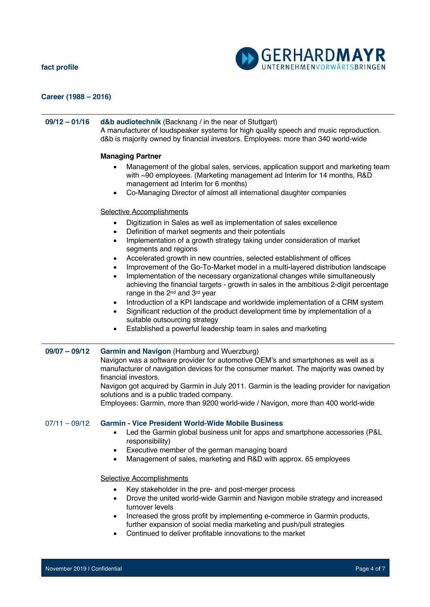

# **Career (1988 – 2016)**

# **09/12 – 01/16 d&b audiotechnik** (Backnang / in the near of Stuttgart) A manufacturer of loudspeaker systems for high quality speech and music reproduction. d&b is majority owned by financial investors. Employees: more than 340 world-wide

### **Managing Partner**

- Management of the global sales, services, application support and marketing team with ~90 employees. (Marketing management ad Interim for 14 months, R&D management ad Interim for 6 months)
- Co-Managing Director of almost all international daughter companies

# Selective Accomplishments

- Digitization in Sales as well as implementation of sales excellence
- Definition of market segments and their potentials
- Implementation of a growth strategy taking under consideration of market segments and regions
- Accelerated growth in new countries, selected establishment of offices
- Improvement of the Go-To-Market model in a multi-layered distribution landscape
- Implementation of the necessary organizational changes while simultaneously achieving the financial targets - growth in sales in the ambitious 2-digit percentage range in the 2<sup>nd</sup> and 3<sup>rd</sup> year
- Introduction of a KPI landscape and worldwide implementation of a CRM system
- Significant reduction of the product development time by implementation of a suitable outsourcing strategy
- Established a powerful leadership team in sales and marketing

### **09/07 – 09/12 Garmin and Navigon** (Hamburg and Wuerzburg)

Navigon was a software provider for automotive OEM's and smartphones as well as a manufacturer of navigation devices for the consumer market. The majority was owned by financial investors.

Navigon got acquired by Garmin in July 2011. Garmin is the leading provider for navigation solutions and is a public traded company.

Employees: Garmin, more than 9200 world-wide / Navigon, more than 400 world-wide

# 07/11 – 09/12 **Garmin - Vice President World-Wide Mobile Business**

- Led the Garmin global business unit for apps and smartphone accessories (P&L responsibility)
- Executive member of the german managing board
- Management of sales, marketing and R&D with approx. 65 employees

### Selective Accomplishments

- Key stakeholder in the pre- and post-merger process
- Drove the united world-wide Garmin and Navigon mobile strategy and increased turnover levels
- Increased the gross profit by implementing e-commerce in Garmin products, further expansion of social media marketing and push/pull strategies
- Continued to deliver profitable innovations to the market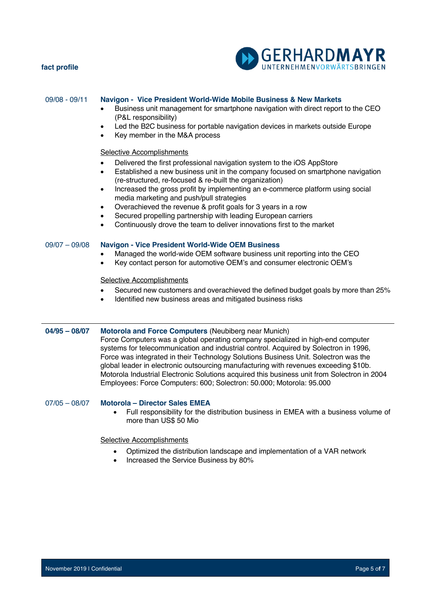

| $09/08 - 09/11$ | Navigon - Vice President World-Wide Mobile Business & New Markets<br>Business unit management for smartphone navigation with direct report to the CEO<br>(P&L responsibility)<br>Led the B2C business for portable navigation devices in markets outside Europe<br>$\bullet$<br>Key member in the M&A process                                                                                                                                                                                                                                                                                                                                                                   |
|-----------------|---------------------------------------------------------------------------------------------------------------------------------------------------------------------------------------------------------------------------------------------------------------------------------------------------------------------------------------------------------------------------------------------------------------------------------------------------------------------------------------------------------------------------------------------------------------------------------------------------------------------------------------------------------------------------------|
|                 | <b>Selective Accomplishments</b><br>Delivered the first professional navigation system to the iOS AppStore<br>$\bullet$<br>Established a new business unit in the company focused on smartphone navigation<br>$\bullet$<br>(re-structured, re-focused & re-built the organization)<br>Increased the gross profit by implementing an e-commerce platform using social<br>$\bullet$<br>media marketing and push/pull strategies<br>Overachieved the revenue & profit goals for 3 years in a row<br>$\bullet$<br>Secured propelling partnership with leading European carriers<br>$\bullet$<br>Continuously drove the team to deliver innovations first to the market<br>$\bullet$ |
| $09/07 - 09/08$ | <b>Navigon - Vice President World-Wide OEM Business</b><br>Managed the world-wide OEM software business unit reporting into the CEO<br>Key contact person for automotive OEM's and consumer electronic OEM's<br>$\bullet$                                                                                                                                                                                                                                                                                                                                                                                                                                                       |
|                 | <b>Selective Accomplishments</b><br>Secured new customers and overachieved the defined budget goals by more than 25%<br>Identified new business areas and mitigated business risks<br>$\bullet$                                                                                                                                                                                                                                                                                                                                                                                                                                                                                 |
| $04/95 - 08/07$ | Motorola and Force Computers (Neubiberg near Munich)<br>Force Computers was a global operating company specialized in high-end computer<br>systems for telecommunication and industrial control. Acquired by Solectron in 1996,<br>Force was integrated in their Technology Solutions Business Unit. Solectron was the<br>global leader in electronic outsourcing manufacturing with revenues exceeding \$10b.<br>Motorola Industrial Electronic Solutions acquired this business unit from Solectron in 2004<br>Employees: Force Computers: 600; Solectron: 50.000; Motorola: 95.000                                                                                           |
| $07/05 - 08/07$ | <b>Motorola - Director Sales EMEA</b><br>Full responsibility for the distribution business in EMEA with a business volume of<br>$\bullet$<br>more than US\$ 50 Mio                                                                                                                                                                                                                                                                                                                                                                                                                                                                                                              |
|                 | <b>Selective Accomplishments</b>                                                                                                                                                                                                                                                                                                                                                                                                                                                                                                                                                                                                                                                |
|                 | Optimized the distribution landscape and implementation of a VAR network<br>$\bullet$                                                                                                                                                                                                                                                                                                                                                                                                                                                                                                                                                                                           |

• Increased the Service Business by 80%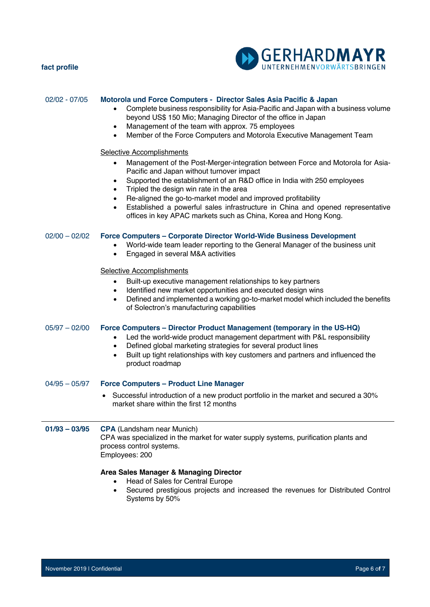

| 02/02 - 07/05   | Motorola und Force Computers - Director Sales Asia Pacific & Japan<br>Complete business responsibility for Asia-Pacific and Japan with a business volume<br>beyond US\$ 150 Mio; Managing Director of the office in Japan<br>Management of the team with approx. 75 employees<br>$\bullet$<br>Member of the Force Computers and Motorola Executive Management Team<br>$\bullet$                                                                                                                                                                                 |
|-----------------|-----------------------------------------------------------------------------------------------------------------------------------------------------------------------------------------------------------------------------------------------------------------------------------------------------------------------------------------------------------------------------------------------------------------------------------------------------------------------------------------------------------------------------------------------------------------|
|                 | <b>Selective Accomplishments</b><br>Management of the Post-Merger-integration between Force and Motorola for Asia-<br>$\bullet$<br>Pacific and Japan without turnover impact<br>Supported the establishment of an R&D office in India with 250 employees<br>$\bullet$<br>Tripled the design win rate in the area<br>$\bullet$<br>Re-aligned the go-to-market model and improved profitability<br>Established a powerful sales infrastructure in China and opened representative<br>$\bullet$<br>offices in key APAC markets such as China, Korea and Hong Kong. |
| $02/00 - 02/02$ | Force Computers - Corporate Director World-Wide Business Development<br>World-wide team leader reporting to the General Manager of the business unit<br>Engaged in several M&A activities<br>$\bullet$                                                                                                                                                                                                                                                                                                                                                          |
|                 | Selective Accomplishments<br>Built-up executive management relationships to key partners<br>$\bullet$<br>Identified new market opportunities and executed design wins<br>$\bullet$<br>Defined and implemented a working go-to-market model which included the benefits<br>$\bullet$<br>of Solectron's manufacturing capabilities                                                                                                                                                                                                                                |
| $05/97 - 02/00$ | Force Computers - Director Product Management (temporary in the US-HQ)<br>Led the world-wide product management department with P&L responsibility<br>$\bullet$<br>Defined global marketing strategies for several product lines<br>$\bullet$<br>Built up tight relationships with key customers and partners and influenced the<br>٠<br>product roadmap                                                                                                                                                                                                        |
| $04/95 - 05/97$ | <b>Force Computers - Product Line Manager</b>                                                                                                                                                                                                                                                                                                                                                                                                                                                                                                                   |
|                 | Successful introduction of a new product portfolio in the market and secured a 30%<br>market share within the first 12 months                                                                                                                                                                                                                                                                                                                                                                                                                                   |
| $01/93 - 03/95$ | <b>CPA</b> (Landsham near Munich)<br>CPA was specialized in the market for water supply systems, purification plants and<br>process control systems.<br>Employees: 200                                                                                                                                                                                                                                                                                                                                                                                          |
|                 | Area Sales Manager & Managing Director<br>Head of Sales for Central Europe<br>Secured prestigious projects and increased the revenues for Distributed Control<br>٠<br>Systems by 50%                                                                                                                                                                                                                                                                                                                                                                            |